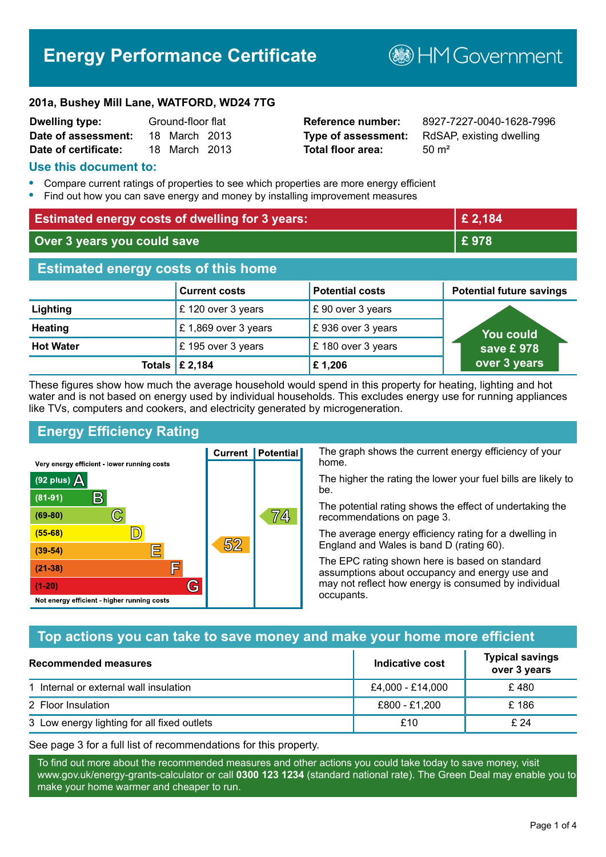# **Energy Performance Certificate**

**B**HM Government

#### **201a, Bushey Mill Lane, WATFORD, WD24 7TG**

| <b>Dwelling type:</b> | Ground-floor flat |               |  |
|-----------------------|-------------------|---------------|--|
| Date of assessment:   |                   | 18 March 2013 |  |
| Date of certificate:  |                   | 18 March 2013 |  |

# **Total floor area:** 50 m<sup>2</sup>

**Reference number:** 8927-7227-0040-1628-7996 **Type of assessment:** RdSAP, existing dwelling

#### **Use this document to:**

- **•** Compare current ratings of properties to see which properties are more energy efficient
- **•** Find out how you can save energy and money by installing improvement measures

| <b>Estimated energy costs of dwelling for 3 years:</b> |                                 | £ 2,184                |                                 |
|--------------------------------------------------------|---------------------------------|------------------------|---------------------------------|
| Over 3 years you could save                            |                                 | £978                   |                                 |
| <b>Estimated energy costs of this home</b>             |                                 |                        |                                 |
|                                                        | <b>Current costs</b>            | <b>Potential costs</b> | <b>Potential future savings</b> |
| Lighting                                               | £120 over 3 years               | £90 over 3 years       |                                 |
| <b>Heating</b>                                         | £1,869 over 3 years             | £936 over 3 years      | <b>You could</b>                |
| <b>Hot Water</b>                                       | £195 over 3 years               | £180 over 3 years      | save £978                       |
|                                                        | Totals $\mathbf \epsilon$ 2,184 | £1,206                 | over 3 years                    |

These figures show how much the average household would spend in this property for heating, lighting and hot water and is not based on energy used by individual households. This excludes energy use for running appliances like TVs, computers and cookers, and electricity generated by microgeneration.

**Current | Potential** 

 $52$ 

# **Energy Efficiency Rating**

 $\mathbb{C}$ 

 $\mathbb{D}$ 

E

庐

G

Very energy efficient - lower running costs

 $\mathsf{R}% _{T}$ 

Not energy efficient - higher running costs

(92 plus)  $\Delta$ 

 $(81 - 91)$ 

 $(69 - 80)$ 

 $(55-68)$ 

 $(39 - 54)$ 

 $(21-38)$ 

 $(1-20)$ 

The graph shows the current energy efficiency of your home.

The higher the rating the lower your fuel bills are likely to be.

The potential rating shows the effect of undertaking the recommendations on page 3.

The average energy efficiency rating for a dwelling in England and Wales is band D (rating 60).

The EPC rating shown here is based on standard assumptions about occupancy and energy use and may not reflect how energy is consumed by individual occupants.

# **Top actions you can take to save money and make your home more efficient**

74,

| Recommended measures                        | Indicative cost  | <b>Typical savings</b><br>over 3 years |
|---------------------------------------------|------------------|----------------------------------------|
| 1 Internal or external wall insulation      | £4,000 - £14,000 | £480                                   |
| 2 Floor Insulation                          | £800 - £1,200    | £186                                   |
| 3 Low energy lighting for all fixed outlets | £10              | £ 24                                   |

See page 3 for a full list of recommendations for this property.

To find out more about the recommended measures and other actions you could take today to save money, visit www.gov.uk/energy-grants-calculator or call **0300 123 1234** (standard national rate). The Green Deal may enable you to make your home warmer and cheaper to run.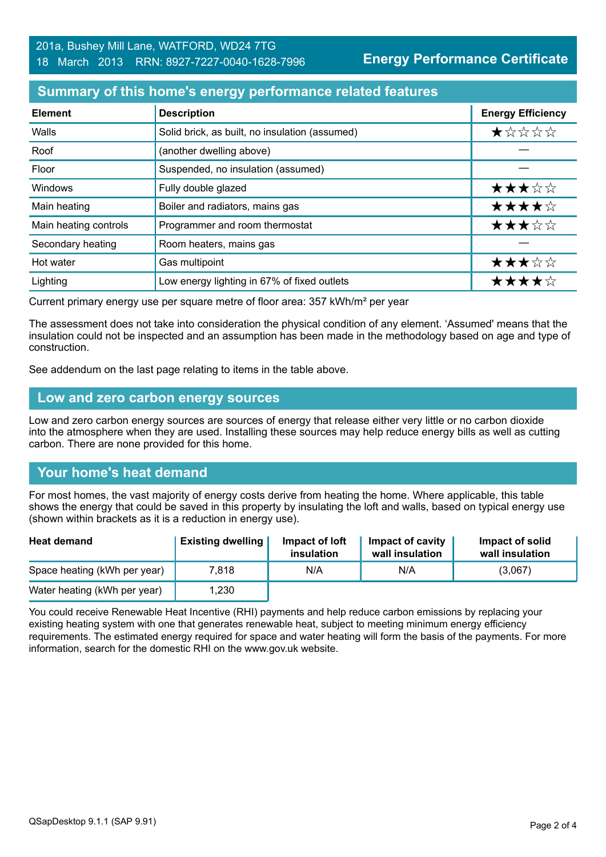#### **Summary of this home's energy performance related features**

| <b>Element</b>        | <b>Description</b>                             | <b>Energy Efficiency</b> |
|-----------------------|------------------------------------------------|--------------------------|
| Walls                 | Solid brick, as built, no insulation (assumed) | *****                    |
| Roof                  | (another dwelling above)                       |                          |
| Floor                 | Suspended, no insulation (assumed)             |                          |
| <b>Windows</b>        | Fully double glazed                            | ★★★☆☆                    |
| Main heating          | Boiler and radiators, mains gas                | ★★★★☆                    |
| Main heating controls | Programmer and room thermostat                 | ★★★☆☆                    |
| Secondary heating     | Room heaters, mains gas                        |                          |
| Hot water             | Gas multipoint                                 | ★★★☆☆                    |
| Lighting              | Low energy lighting in 67% of fixed outlets    | ★★★★☆                    |

Current primary energy use per square metre of floor area: 357 kWh/m² per year

The assessment does not take into consideration the physical condition of any element. 'Assumed' means that the insulation could not be inspected and an assumption has been made in the methodology based on age and type of construction.

See addendum on the last page relating to items in the table above.

#### **Low and zero carbon energy sources**

Low and zero carbon energy sources are sources of energy that release either very little or no carbon dioxide into the atmosphere when they are used. Installing these sources may help reduce energy bills as well as cutting carbon. There are none provided for this home.

# **Your home's heat demand**

For most homes, the vast majority of energy costs derive from heating the home. Where applicable, this table shows the energy that could be saved in this property by insulating the loft and walls, based on typical energy use (shown within brackets as it is a reduction in energy use).

| <b>Heat demand</b>           | <b>Existing dwelling</b> | Impact of loft<br>insulation | Impact of cavity<br>wall insulation | Impact of solid<br>wall insulation |
|------------------------------|--------------------------|------------------------------|-------------------------------------|------------------------------------|
| Space heating (kWh per year) | 7.818                    | N/A                          | N/A                                 | (3,067)                            |
| Water heating (kWh per year) | 1,230                    |                              |                                     |                                    |

You could receive Renewable Heat Incentive (RHI) payments and help reduce carbon emissions by replacing your existing heating system with one that generates renewable heat, subject to meeting minimum energy efficiency requirements. The estimated energy required for space and water heating will form the basis of the payments. For more information, search for the domestic RHI on the www.gov.uk website.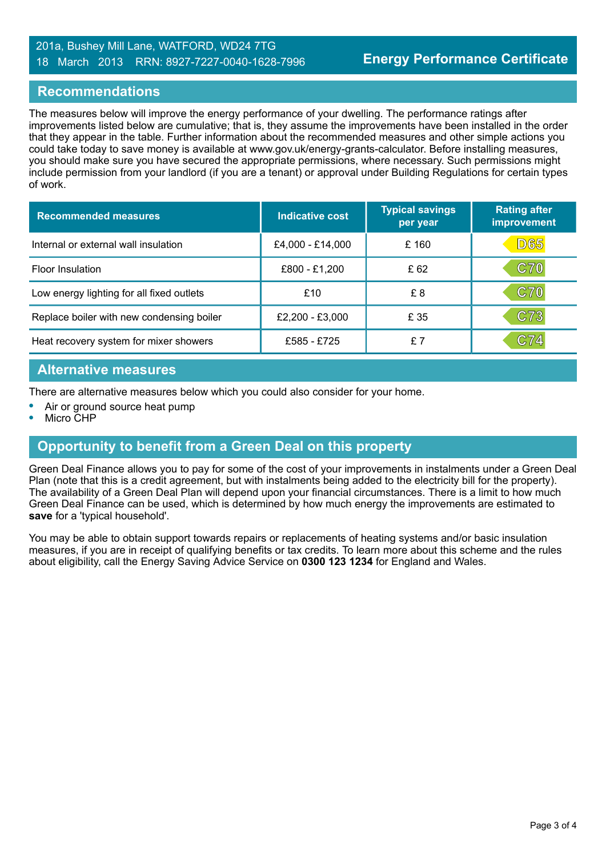#### 201a, Bushey Mill Lane, WATFORD, WD24 7TG 18 March 2013 RRN: 8927-7227-0040-1628-7996

#### **Recommendations**

The measures below will improve the energy performance of your dwelling. The performance ratings after improvements listed below are cumulative; that is, they assume the improvements have been installed in the order that they appear in the table. Further information about the recommended measures and other simple actions you could take today to save money is available at www.gov.uk/energy-grants-calculator. Before installing measures, you should make sure you have secured the appropriate permissions, where necessary. Such permissions might include permission from your landlord (if you are a tenant) or approval under Building Regulations for certain types of work.

| <b>Recommended measures</b>               | Indicative cost  | <b>Typical savings</b><br>per year | <b>Rating after</b><br>improvement |
|-------------------------------------------|------------------|------------------------------------|------------------------------------|
| Internal or external wall insulation      | £4,000 - £14,000 | £ 160                              | D65                                |
| <b>Floor Insulation</b>                   | £800 - £1,200    | £62                                | $\mathbf{C70}$                     |
| Low energy lighting for all fixed outlets | £10              | £8                                 | $\mathbf{C70}$                     |
| Replace boiler with new condensing boiler | £2,200 - £3,000  | £ 35                               | $\mathbf{C7}3$                     |
| Heat recovery system for mixer showers    | £585 - £725      | £7                                 | C74                                |

#### **Alternative measures**

There are alternative measures below which you could also consider for your home.

- **•** Air or ground source heat pump
- **•** Micro CHP

# **Opportunity to benefit from a Green Deal on this property**

Green Deal Finance allows you to pay for some of the cost of your improvements in instalments under a Green Deal Plan (note that this is a credit agreement, but with instalments being added to the electricity bill for the property). The availability of a Green Deal Plan will depend upon your financial circumstances. There is a limit to how much Green Deal Finance can be used, which is determined by how much energy the improvements are estimated to **save** for a 'typical household'.

You may be able to obtain support towards repairs or replacements of heating systems and/or basic insulation measures, if you are in receipt of qualifying benefits or tax credits. To learn more about this scheme and the rules about eligibility, call the Energy Saving Advice Service on **0300 123 1234** for England and Wales.